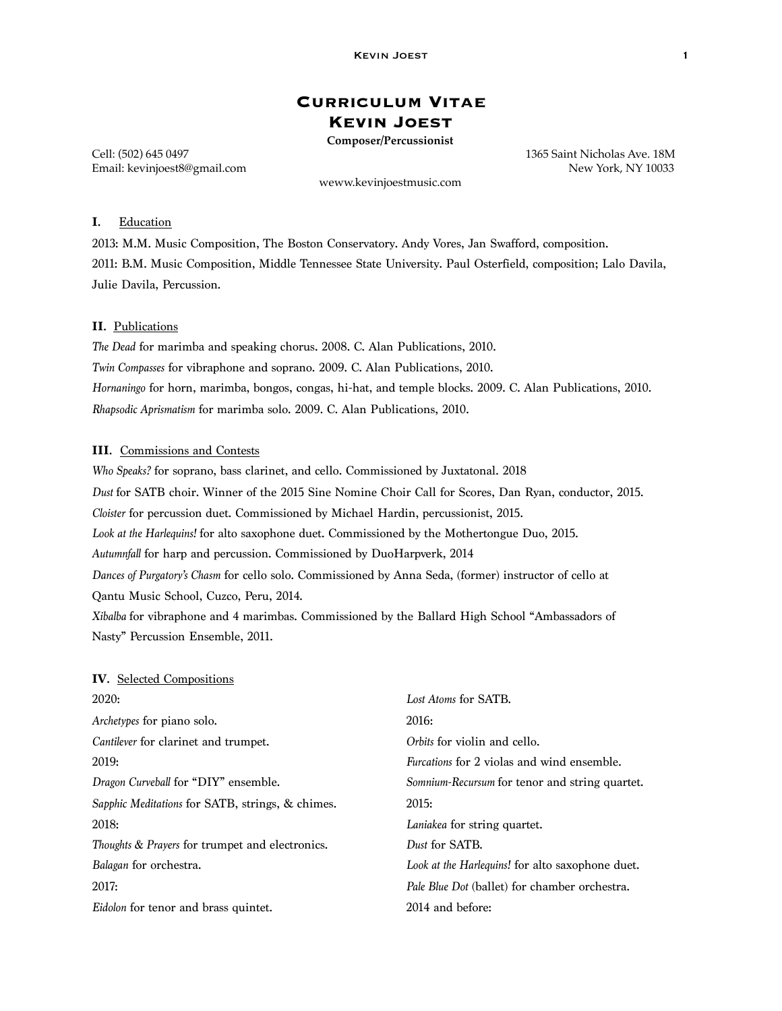# **Curriculum Vitae Kevin Joest**

**Composer/Percussionist**

Cell: (502) 645 0497 1365 Saint Nicholas Ave. 18M Email: kevinjoest8@gmail.com **New York, NY 10033** New York, NY 10033

weww.kevinjoestmusic.com

# **I.** Education

2013: M.M. Music Composition, The Boston Conservatory. Andy Vores, Jan Swafford, composition. 2011: B.M. Music Composition, Middle Tennessee State University. Paul Osterfield, composition; Lalo Davila, Julie Davila, Percussion.

### **II.** Publications

*The Dead* for marimba and speaking chorus. 2008. C. Alan Publications, 2010. *Twin Compasses* for vibraphone and soprano. 2009. C. Alan Publications, 2010. *Hornaningo* for horn, marimba, bongos, congas, hi-hat, and temple blocks. 2009. C. Alan Publications, 2010. *Rhapsodic Aprismatism* for marimba solo. 2009. C. Alan Publications, 2010.

## **III.** Commissions and Contests

*Who Speaks?* for soprano, bass clarinet, and cello. Commissioned by Juxtatonal. 2018 *Dust* for SATB choir. Winner of the 2015 Sine Nomine Choir Call for Scores, Dan Ryan, conductor, 2015. *Cloister* for percussion duet. Commissioned by Michael Hardin, percussionist, 2015. *Look at the Harlequins!* for alto saxophone duet. Commissioned by the Mothertongue Duo, 2015. *Autumnfall* for harp and percussion. Commissioned by DuoHarpverk, 2014 *Dances of Purgatory's Chasm* for cello solo. Commissioned by Anna Seda, (former) instructor of cello at Qantu Music School, Cuzco, Peru, 2014. *Xibalba* for vibraphone and 4 marimbas. Commissioned by the Ballard High School "Ambassadors of

Nasty" Percussion Ensemble, 2011.

| <b>IV.</b> Selected Compositions                 |                                                   |
|--------------------------------------------------|---------------------------------------------------|
| 2020:                                            | Lost Atoms for SATB.                              |
| <i>Archetypes</i> for piano solo.                | 2016:                                             |
| <i>Cantilever</i> for clarinet and trumpet.      | Orbits for violin and cello.                      |
| 2019:                                            | <i>Furcations</i> for 2 violas and wind ensemble. |
| Dragon Curveball for "DIY" ensemble.             | Somnium-Recursum for tenor and string quartet.    |
| Sapphic Meditations for SATB, strings, & chimes. | 2015:                                             |
| 2018:                                            | Laniakea for string quartet.                      |
| Thoughts & Prayers for trumpet and electronics.  | Dust for SATB.                                    |
| Balagan for orchestra.                           | Look at the Harlequins! for alto saxophone duet.  |
| 2017:                                            | Pale Blue Dot (ballet) for chamber orchestra.     |
| <i>Eidolon</i> for tenor and brass quintet.      | 2014 and before:                                  |